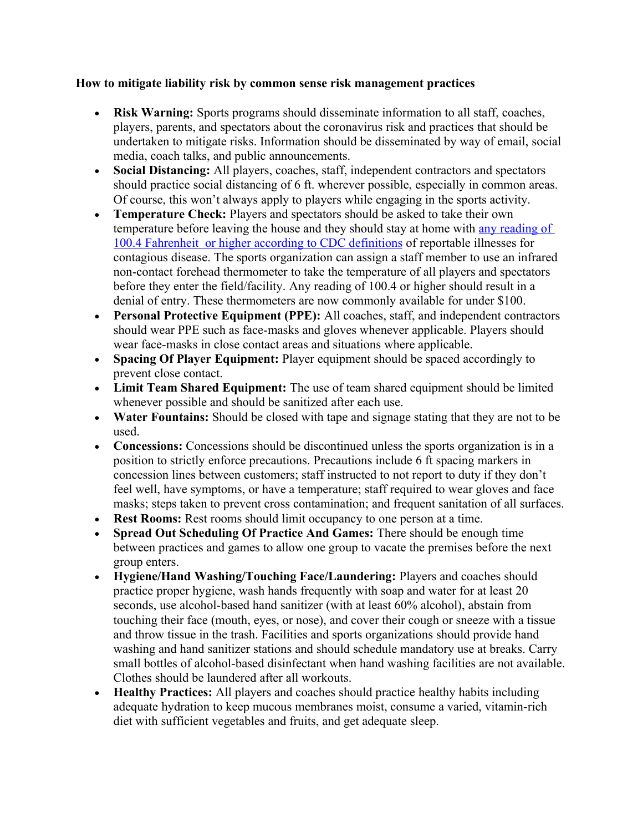## **How to mitigate liability risk by common sense risk management practices**

- **Risk Warning:** Sports programs should disseminate information to all staff, coaches, players, parents, and spectators about the coronavirus risk and practices that should be undertaken to mitigate risks. Information should be disseminated by way of email, social media, coach talks, and public announcements.
- **Social Distancing:** All players, coaches, staff, independent contractors and spectators should practice social distancing of 6 ft. wherever possible, especially in common areas. Of course, this won't always apply to players while engaging in the sports activity.
- **Temperature Check:** Players and spectators should be asked to take their own temperature before leaving the house and they should stay at home with any reading of 100.4 Fahrenheit or higher according to CDC definitions of reportable illnesses for contagious disease. The sports organization can assign a staff member to use an infrared non-contact forehead thermometer to take the temperature of all players and spectators before they enter the field/facility. Any reading of 100.4 or higher should result in a denial of entry. These thermometers are now commonly available for under \$100.
- **Personal Protective Equipment (PPE):** All coaches, staff, and independent contractors should wear PPE such as face-masks and gloves whenever applicable. Players should wear face-masks in close contact areas and situations where applicable.
- **Spacing Of Player Equipment:** Player equipment should be spaced accordingly to prevent close contact.
- **Limit Team Shared Equipment:** The use of team shared equipment should be limited whenever possible and should be sanitized after each use.
- **Water Fountains:** Should be closed with tape and signage stating that they are not to be used.
- **Concessions:** Concessions should be discontinued unless the sports organization is in a position to strictly enforce precautions. Precautions include 6 ft spacing markers in concession lines between customers; staff instructed to not report to duty if they don't feel well, have symptoms, or have a temperature; staff required to wear gloves and face masks; steps taken to prevent cross contamination; and frequent sanitation of all surfaces.
- **Rest Rooms:** Rest rooms should limit occupancy to one person at a time.
- **Spread Out Scheduling Of Practice And Games:** There should be enough time between practices and games to allow one group to vacate the premises before the next group enters.
- **Hygiene/Hand Washing/Touching Face/Laundering:** Players and coaches should practice proper hygiene, wash hands frequently with soap and water for at least 20 seconds, use alcohol-based hand sanitizer (with at least 60% alcohol), abstain from touching their face (mouth, eyes, or nose), and cover their cough or sneeze with a tissue and throw tissue in the trash. Facilities and sports organizations should provide hand washing and hand sanitizer stations and should schedule mandatory use at breaks. Carry small bottles of alcohol-based disinfectant when hand washing facilities are not available. Clothes should be laundered after all workouts.
- **Healthy Practices:** All players and coaches should practice healthy habits including adequate hydration to keep mucous membranes moist, consume a varied, vitamin-rich diet with sufficient vegetables and fruits, and get adequate sleep.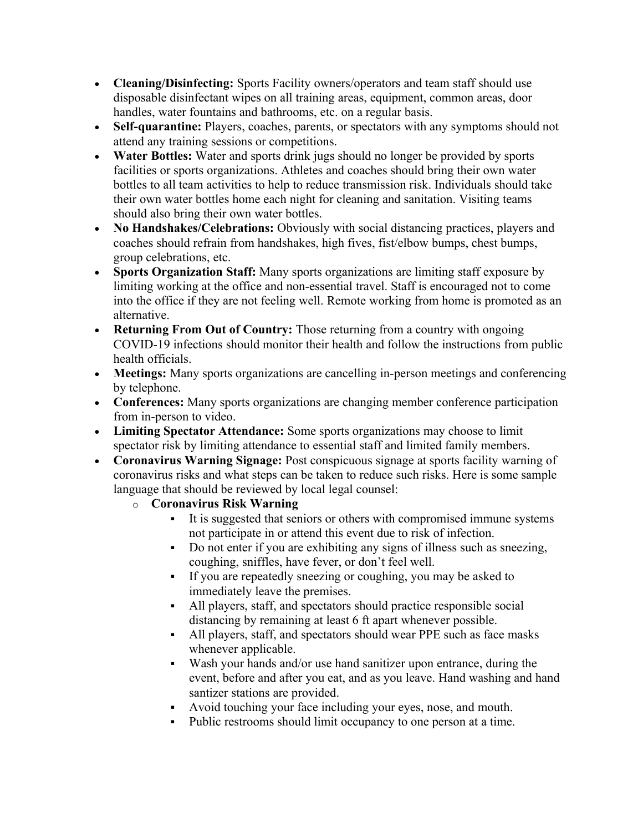- **Cleaning/Disinfecting:** Sports Facility owners/operators and team staff should use disposable disinfectant wipes on all training areas, equipment, common areas, door handles, water fountains and bathrooms, etc. on a regular basis.
- **Self-quarantine:** Players, coaches, parents, or spectators with any symptoms should not attend any training sessions or competitions.
- **Water Bottles:** Water and sports drink jugs should no longer be provided by sports facilities or sports organizations. Athletes and coaches should bring their own water bottles to all team activities to help to reduce transmission risk. Individuals should take their own water bottles home each night for cleaning and sanitation. Visiting teams should also bring their own water bottles.
- **No Handshakes/Celebrations:** Obviously with social distancing practices, players and coaches should refrain from handshakes, high fives, fist/elbow bumps, chest bumps, group celebrations, etc.
- **Sports Organization Staff:** Many sports organizations are limiting staff exposure by limiting working at the office and non-essential travel. Staff is encouraged not to come into the office if they are not feeling well. Remote working from home is promoted as an alternative.
- **Returning From Out of Country:** Those returning from a country with ongoing COVID-19 infections should monitor their health and follow the instructions from public health officials.
- **Meetings:** Many sports organizations are cancelling in-person meetings and conferencing by telephone.
- **Conferences:** Many sports organizations are changing member conference participation from in-person to video.
- **Limiting Spectator Attendance:** Some sports organizations may choose to limit spectator risk by limiting attendance to essential staff and limited family members.
- **Coronavirus Warning Signage:** Post conspicuous signage at sports facility warning of coronavirus risks and what steps can be taken to reduce such risks. Here is some sample language that should be reviewed by local legal counsel:
	- o **Coronavirus Risk Warning**
		- It is suggested that seniors or others with compromised immune systems not participate in or attend this event due to risk of infection.
		- Do not enter if you are exhibiting any signs of illness such as sneezing, coughing, sniffles, have fever, or don't feel well.
		- If you are repeatedly sneezing or coughing, you may be asked to immediately leave the premises.
		- All players, staff, and spectators should practice responsible social distancing by remaining at least 6 ft apart whenever possible.
		- All players, staff, and spectators should wear PPE such as face masks whenever applicable.
		- Wash your hands and/or use hand sanitizer upon entrance, during the event, before and after you eat, and as you leave. Hand washing and hand santizer stations are provided.
		- Avoid touching your face including your eyes, nose, and mouth.
		- Public restrooms should limit occupancy to one person at a time.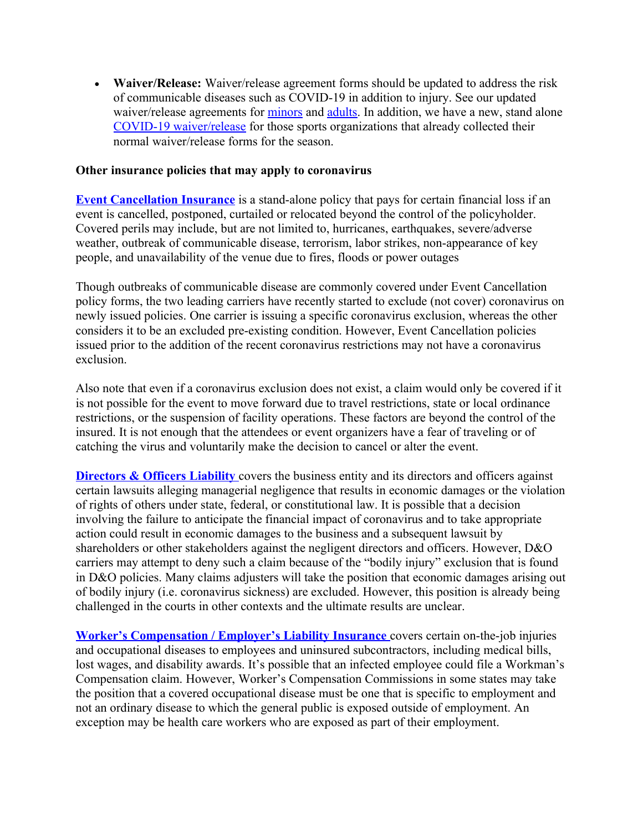**Waiver/Release:** Waiver/release agreement forms should be updated to address the risk of communicable diseases such as COVID-19 in addition to injury. See our updated waiver/release agreements for minors and adults. In addition, we have a new, stand alone COVID-19 waiver/release for those sports organizations that already collected their normal waiver/release forms for the season.

## **Other insurance policies that may apply to coronavirus**

**Event Cancellation Insurance** is a stand-alone policy that pays for certain financial loss if an event is cancelled, postponed, curtailed or relocated beyond the control of the policyholder. Covered perils may include, but are not limited to, hurricanes, earthquakes, severe/adverse weather, outbreak of communicable disease, terrorism, labor strikes, non-appearance of key people, and unavailability of the venue due to fires, floods or power outages

Though outbreaks of communicable disease are commonly covered under Event Cancellation policy forms, the two leading carriers have recently started to exclude (not cover) coronavirus on newly issued policies. One carrier is issuing a specific coronavirus exclusion, whereas the other considers it to be an excluded pre-existing condition. However, Event Cancellation policies issued prior to the addition of the recent coronavirus restrictions may not have a coronavirus exclusion.

Also note that even if a coronavirus exclusion does not exist, a claim would only be covered if it is not possible for the event to move forward due to travel restrictions, state or local ordinance restrictions, or the suspension of facility operations. These factors are beyond the control of the insured. It is not enough that the attendees or event organizers have a fear of traveling or of catching the virus and voluntarily make the decision to cancel or alter the event.

**Directors & Officers Liability** covers the business entity and its directors and officers against certain lawsuits alleging managerial negligence that results in economic damages or the violation of rights of others under state, federal, or constitutional law. It is possible that a decision involving the failure to anticipate the financial impact of coronavirus and to take appropriate action could result in economic damages to the business and a subsequent lawsuit by shareholders or other stakeholders against the negligent directors and officers. However, D&O carriers may attempt to deny such a claim because of the "bodily injury" exclusion that is found in D&O policies. Many claims adjusters will take the position that economic damages arising out of bodily injury (i.e. coronavirus sickness) are excluded. However, this position is already being challenged in the courts in other contexts and the ultimate results are unclear.

**Worker's Compensation / Employer's Liability Insurance** covers certain on-the-job injuries and occupational diseases to employees and uninsured subcontractors, including medical bills, lost wages, and disability awards. It's possible that an infected employee could file a Workman's Compensation claim. However, Worker's Compensation Commissions in some states may take the position that a covered occupational disease must be one that is specific to employment and not an ordinary disease to which the general public is exposed outside of employment. An exception may be health care workers who are exposed as part of their employment.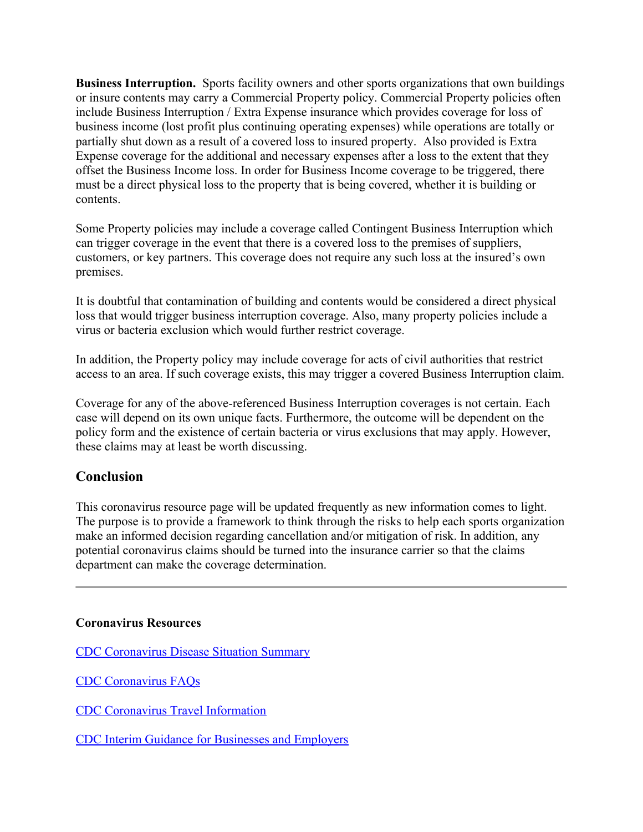**Business Interruption.** Sports facility owners and other sports organizations that own buildings or insure contents may carry a Commercial Property policy. Commercial Property policies often include Business Interruption / Extra Expense insurance which provides coverage for loss of business income (lost profit plus continuing operating expenses) while operations are totally or partially shut down as a result of a covered loss to insured property. Also provided is Extra Expense coverage for the additional and necessary expenses after a loss to the extent that they offset the Business Income loss. In order for Business Income coverage to be triggered, there must be a direct physical loss to the property that is being covered, whether it is building or contents.

Some Property policies may include a coverage called Contingent Business Interruption which can trigger coverage in the event that there is a covered loss to the premises of suppliers, customers, or key partners. This coverage does not require any such loss at the insured's own premises.

It is doubtful that contamination of building and contents would be considered a direct physical loss that would trigger business interruption coverage. Also, many property policies include a virus or bacteria exclusion which would further restrict coverage.

In addition, the Property policy may include coverage for acts of civil authorities that restrict access to an area. If such coverage exists, this may trigger a covered Business Interruption claim.

Coverage for any of the above-referenced Business Interruption coverages is not certain. Each case will depend on its own unique facts. Furthermore, the outcome will be dependent on the policy form and the existence of certain bacteria or virus exclusions that may apply. However, these claims may at least be worth discussing.

## **Conclusion**

This coronavirus resource page will be updated frequently as new information comes to light. The purpose is to provide a framework to think through the risks to help each sports organization make an informed decision regarding cancellation and/or mitigation of risk. In addition, any potential coronavirus claims should be turned into the insurance carrier so that the claims department can make the coverage determination.

## **Coronavirus Resources**

CDC Coronavirus Disease Situation Summary

CDC Coronavirus FAQs

CDC Coronavirus Travel Information

CDC Interim Guidance for Businesses and Employers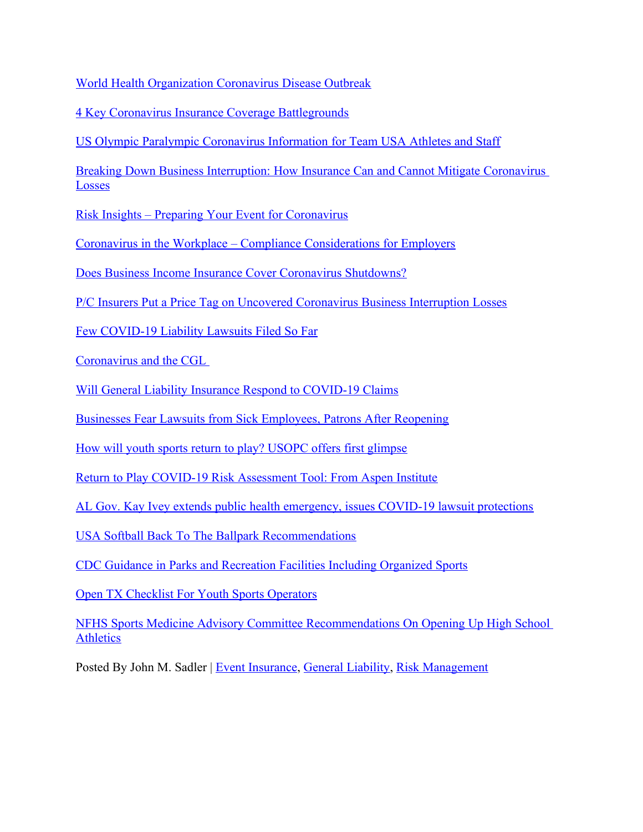World Health Organization Coronavirus Disease Outbreak

4 Key Coronavirus Insurance Coverage Battlegrounds

US Olympic Paralympic Coronavirus Information for Team USA Athletes and Staff

Breaking Down Business Interruption: How Insurance Can and Cannot Mitigate Coronavirus Losses

Risk Insights – Preparing Your Event for Coronavirus

Coronavirus in the Workplace – Compliance Considerations for Employers

Does Business Income Insurance Cover Coronavirus Shutdowns?

P/C Insurers Put a Price Tag on Uncovered Coronavirus Business Interruption Losses

Few COVID-19 Liability Lawsuits Filed So Far

Coronavirus and the CGL

Will General Liability Insurance Respond to COVID-19 Claims

Businesses Fear Lawsuits from Sick Employees, Patrons After Reopening

How will youth sports return to play? USOPC offers first glimpse

Return to Play COVID-19 Risk Assessment Tool: From Aspen Institute

AL Gov. Kay Ivey extends public health emergency, issues COVID-19 lawsuit protections

USA Softball Back To The Ballpark Recommendations

CDC Guidance in Parks and Recreation Facilities Including Organized Sports

Open TX Checklist For Youth Sports Operators

NFHS Sports Medicine Advisory Committee Recommendations On Opening Up High School Athletics

Posted By John M. Sadler | Event Insurance, General Liability, Risk Management